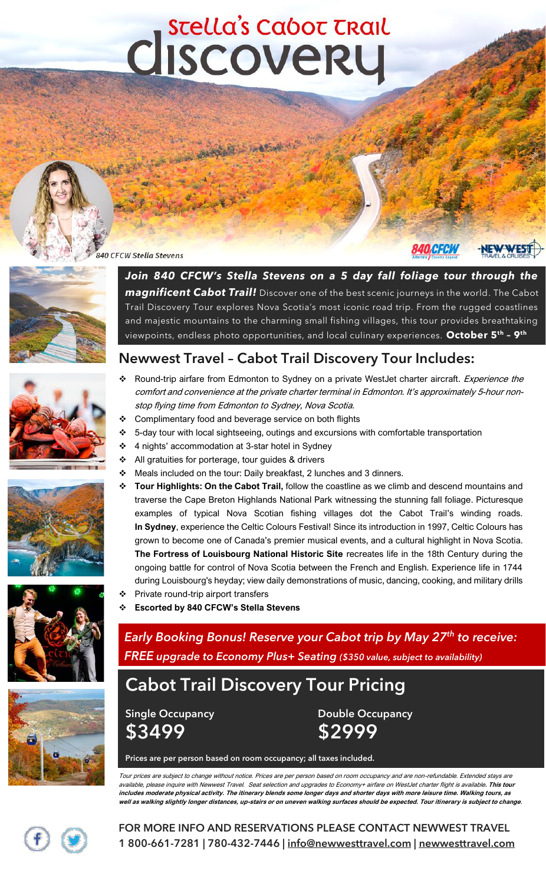# Cliscoverul

#### 840 CFCW Stella Stevens







### Newwest Travel – Cabot Trail Discovery Tour Includes:

- ❖ Round-trip airfare from Edmonton to Sydney on a private WestJet charter aircraft. Experience the comfort and convenience at the private charter terminal in Edmonton. It's approximately 5-hour nonstop flying time from Edmonton to Sydney, Nova Scotia. ❖ Complimentary food and beverage service on both flights
	- ❖ 5-day tour with local sightseeing, outings and excursions with comfortable transportation
	- ❖ 4 nights' accommodation at 3-star hotel in Sydney
		- ❖ All gratuities for porterage, tour guides & drivers
	- ❖ Meals included on the tour: Daily breakfast, 2 lunches and 3 dinners.
	- ❖ **Tour Highlights: On the Cabot Trail,** follow the coastline as we climb and descend mountains and traverse the Cape Breton Highlands National Park witnessing the stunning fall foliage. Picturesque examples of typical Nova Scotian fishing villages dot the Cabot Trail's winding roads. **In Sydney**, experience the Celtic Colours Festival! Since its introduction in 1997, Celtic Colours has grown to become one of Canada's premier musical events, and a cultural highlight in Nova Scotia. **The Fortress of Louisbourg National Historic Site** recreates life in the 18th Century during the ongoing battle for control of Nova Scotia between the French and English. Experience life in 1744 during Louisbourg's heyday; view daily demonstrations of music, dancing, cooking, and military drills ❖ Private round-trip airport transfers
	-
	- ❖ **Escorted by 840 CFCW's Stella Stevens**

*Early Booking Bonus! Reserve your Cabot trip by May 27th to receive: FREE upgrade to Economy Plus+ Seating (\$350 value, subject to availability)*

# **Cabot Trail Discovery Tour Pricing**

\$3499 \$2999

Single Occupancy **Double Occupancy** 

Prices are per person based on room occupancy; all taxes included.

Tour prices are subject to change without notice. Prices are per person based on room occupancy and are non-refundable. Extended stays are available, please inquire with Newwest Travel. Seat selection and upgrades to Economy+ airfare on WestJet charter flight is available**. This tour includes moderate physical activity. The itinerary blends some longer days and shorter days with more leisure time. Walking tours, as well as walking slightly longer distances, up-stairs or on uneven walking surfaces should be expected. Tour itinerary is subject to change**.

FOR MORE INFO AND RESERVATIONS PLEASE CONTACT NEWWEST TRAVEL 1 800-661-7281 | 780-432-7446 | [info@newwesttravel.com](mailto:info@newwesttravel.com) | newwesttravel.com